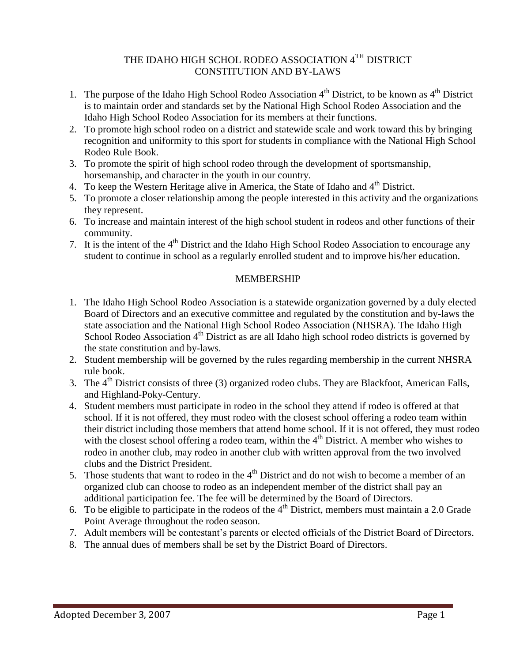# THE IDAHO HIGH SCHOL RODEO ASSOCIATION 4TH DISTRICT CONSTITUTION AND BY-LAWS

- 1. The purpose of the Idaho High School Rodeo Association  $4<sup>th</sup>$  District, to be known as  $4<sup>th</sup>$  District is to maintain order and standards set by the National High School Rodeo Association and the Idaho High School Rodeo Association for its members at their functions.
- 2. To promote high school rodeo on a district and statewide scale and work toward this by bringing recognition and uniformity to this sport for students in compliance with the National High School Rodeo Rule Book.
- 3. To promote the spirit of high school rodeo through the development of sportsmanship, horsemanship, and character in the youth in our country.
- 4. To keep the Western Heritage alive in America, the State of Idaho and 4<sup>th</sup> District.
- 5. To promote a closer relationship among the people interested in this activity and the organizations they represent.
- 6. To increase and maintain interest of the high school student in rodeos and other functions of their community.
- 7. It is the intent of the 4<sup>th</sup> District and the Idaho High School Rodeo Association to encourage any student to continue in school as a regularly enrolled student and to improve his/her education.

# MEMBERSHIP

- 1. The Idaho High School Rodeo Association is a statewide organization governed by a duly elected Board of Directors and an executive committee and regulated by the constitution and by-laws the state association and the National High School Rodeo Association (NHSRA). The Idaho High School Rodeo Association 4<sup>th</sup> District as are all Idaho high school rodeo districts is governed by the state constitution and by-laws.
- 2. Student membership will be governed by the rules regarding membership in the current NHSRA rule book.
- 3. The  $4<sup>th</sup>$  District consists of three (3) organized rodeo clubs. They are Blackfoot, American Falls, and Highland-Poky-Century.
- 4. Student members must participate in rodeo in the school they attend if rodeo is offered at that school. If it is not offered, they must rodeo with the closest school offering a rodeo team within their district including those members that attend home school. If it is not offered, they must rodeo with the closest school offering a rodeo team, within the  $4<sup>th</sup>$  District. A member who wishes to rodeo in another club, may rodeo in another club with written approval from the two involved clubs and the District President.
- 5. Those students that want to rodeo in the  $4<sup>th</sup>$  District and do not wish to become a member of an organized club can choose to rodeo as an independent member of the district shall pay an additional participation fee. The fee will be determined by the Board of Directors.
- 6. To be eligible to participate in the rodeos of the  $4<sup>th</sup>$  District, members must maintain a 2.0 Grade Point Average throughout the rodeo season.
- 7. Adult members will be contestant's parents or elected officials of the District Board of Directors.
- 8. The annual dues of members shall be set by the District Board of Directors.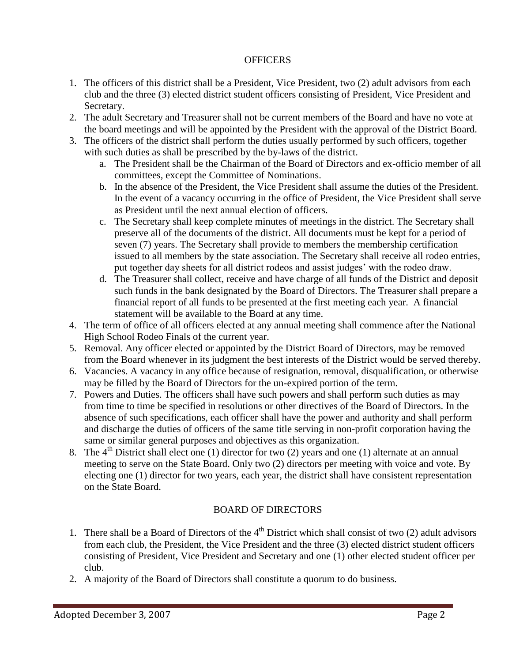## **OFFICERS**

- 1. The officers of this district shall be a President, Vice President, two (2) adult advisors from each club and the three (3) elected district student officers consisting of President, Vice President and Secretary.
- 2. The adult Secretary and Treasurer shall not be current members of the Board and have no vote at the board meetings and will be appointed by the President with the approval of the District Board.
- 3. The officers of the district shall perform the duties usually performed by such officers, together with such duties as shall be prescribed by the by-laws of the district.
	- a. The President shall be the Chairman of the Board of Directors and ex-officio member of all committees, except the Committee of Nominations.
	- b. In the absence of the President, the Vice President shall assume the duties of the President. In the event of a vacancy occurring in the office of President, the Vice President shall serve as President until the next annual election of officers.
	- c. The Secretary shall keep complete minutes of meetings in the district. The Secretary shall preserve all of the documents of the district. All documents must be kept for a period of seven (7) years. The Secretary shall provide to members the membership certification issued to all members by the state association. The Secretary shall receive all rodeo entries, put together day sheets for all district rodeos and assist judges' with the rodeo draw.
	- d. The Treasurer shall collect, receive and have charge of all funds of the District and deposit such funds in the bank designated by the Board of Directors. The Treasurer shall prepare a financial report of all funds to be presented at the first meeting each year. A financial statement will be available to the Board at any time.
- 4. The term of office of all officers elected at any annual meeting shall commence after the National High School Rodeo Finals of the current year.
- 5. Removal. Any officer elected or appointed by the District Board of Directors, may be removed from the Board whenever in its judgment the best interests of the District would be served thereby.
- 6. Vacancies. A vacancy in any office because of resignation, removal, disqualification, or otherwise may be filled by the Board of Directors for the un-expired portion of the term.
- 7. Powers and Duties. The officers shall have such powers and shall perform such duties as may from time to time be specified in resolutions or other directives of the Board of Directors. In the absence of such specifications, each officer shall have the power and authority and shall perform and discharge the duties of officers of the same title serving in non-profit corporation having the same or similar general purposes and objectives as this organization.
- 8. The  $4<sup>th</sup>$  District shall elect one (1) director for two (2) years and one (1) alternate at an annual meeting to serve on the State Board. Only two (2) directors per meeting with voice and vote. By electing one (1) director for two years, each year, the district shall have consistent representation on the State Board.

# BOARD OF DIRECTORS

- 1. There shall be a Board of Directors of the  $4<sup>th</sup>$  District which shall consist of two (2) adult advisors from each club, the President, the Vice President and the three (3) elected district student officers consisting of President, Vice President and Secretary and one (1) other elected student officer per club.
- 2. A majority of the Board of Directors shall constitute a quorum to do business.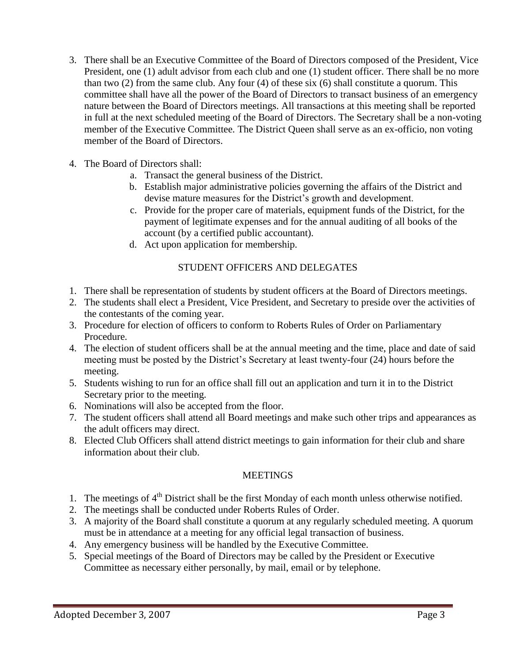- 3. There shall be an Executive Committee of the Board of Directors composed of the President, Vice President, one (1) adult advisor from each club and one (1) student officer. There shall be no more than two (2) from the same club. Any four (4) of these six (6) shall constitute a quorum. This committee shall have all the power of the Board of Directors to transact business of an emergency nature between the Board of Directors meetings. All transactions at this meeting shall be reported in full at the next scheduled meeting of the Board of Directors. The Secretary shall be a non-voting member of the Executive Committee. The District Queen shall serve as an ex-officio, non voting member of the Board of Directors.
- 4. The Board of Directors shall:
	- a. Transact the general business of the District.
	- b. Establish major administrative policies governing the affairs of the District and devise mature measures for the District's growth and development.
	- c. Provide for the proper care of materials, equipment funds of the District, for the payment of legitimate expenses and for the annual auditing of all books of the account (by a certified public accountant).
	- d. Act upon application for membership.

# STUDENT OFFICERS AND DELEGATES

- 1. There shall be representation of students by student officers at the Board of Directors meetings.
- 2. The students shall elect a President, Vice President, and Secretary to preside over the activities of the contestants of the coming year.
- 3. Procedure for election of officers to conform to Roberts Rules of Order on Parliamentary Procedure.
- 4. The election of student officers shall be at the annual meeting and the time, place and date of said meeting must be posted by the District's Secretary at least twenty-four (24) hours before the meeting.
- 5. Students wishing to run for an office shall fill out an application and turn it in to the District Secretary prior to the meeting.
- 6. Nominations will also be accepted from the floor.
- 7. The student officers shall attend all Board meetings and make such other trips and appearances as the adult officers may direct.
- 8. Elected Club Officers shall attend district meetings to gain information for their club and share information about their club.

#### **MEETINGS**

- 1. The meetings of 4<sup>th</sup> District shall be the first Monday of each month unless otherwise notified.
- 2. The meetings shall be conducted under Roberts Rules of Order.
- 3. A majority of the Board shall constitute a quorum at any regularly scheduled meeting. A quorum must be in attendance at a meeting for any official legal transaction of business.
- 4. Any emergency business will be handled by the Executive Committee.
- 5. Special meetings of the Board of Directors may be called by the President or Executive Committee as necessary either personally, by mail, email or by telephone.